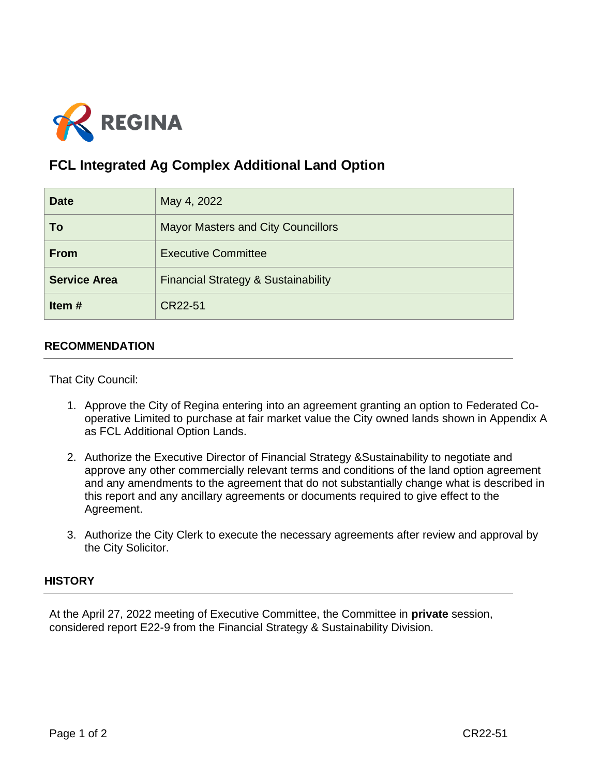

## **FCL Integrated Ag Complex Additional Land Option**

| <b>Date</b>         | May 4, 2022                                    |
|---------------------|------------------------------------------------|
| To                  | <b>Mayor Masters and City Councillors</b>      |
| <b>From</b>         | <b>Executive Committee</b>                     |
| <b>Service Area</b> | <b>Financial Strategy &amp; Sustainability</b> |
| Item#               | CR22-51                                        |

## **RECOMMENDATION**

That City Council:

- 1. Approve the City of Regina entering into an agreement granting an option to Federated Cooperative Limited to purchase at fair market value the City owned lands shown in Appendix A as FCL Additional Option Lands.
- 2. Authorize the Executive Director of Financial Strategy &Sustainability to negotiate and approve any other commercially relevant terms and conditions of the land option agreement and any amendments to the agreement that do not substantially change what is described in this report and any ancillary agreements or documents required to give effect to the Agreement.
- 3. Authorize the City Clerk to execute the necessary agreements after review and approval by the City Solicitor.

## **HISTORY**

At the April 27, 2022 meeting of Executive Committee, the Committee in **private** session, considered report E22-9 from the Financial Strategy & Sustainability Division.